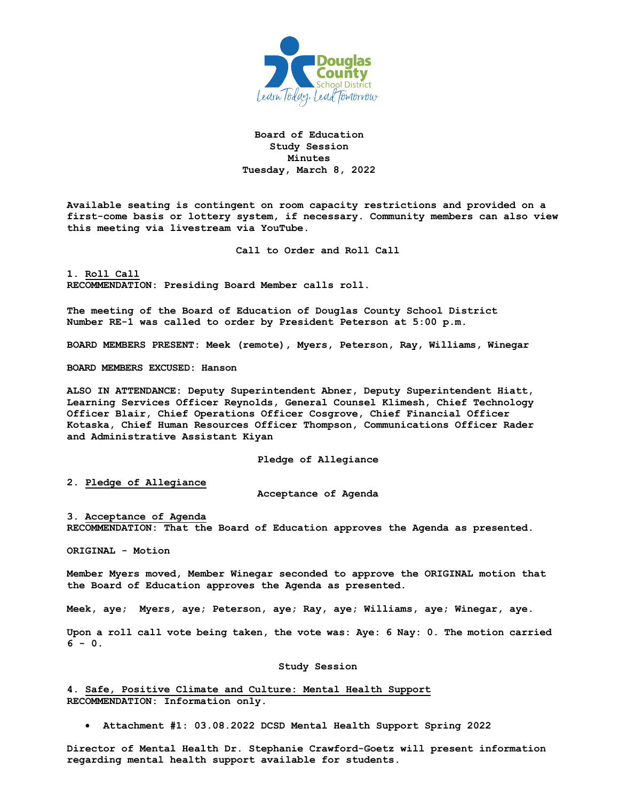

## **Board of Education Study Session Minutes Tuesday, March 8, 2022**

**Available seating is contingent on room capacity restrictions and provided on a first-come basis or lottery system, if necessary. Community members can also view this meeting via livestream via YouTube.** 

**Call to Order and Roll Call**

**1. Roll Call RECOMMENDATION: Presiding Board Member calls roll.** 

**The meeting of the Board of Education of Douglas County School District Number RE-1 was called to order by President Peterson at 5:00 p.m.**

**BOARD MEMBERS PRESENT: Meek (remote), Myers, Peterson, Ray, Williams, Winegar**

**BOARD MEMBERS EXCUSED: Hanson**

**ALSO IN ATTENDANCE: Deputy Superintendent Abner, Deputy Superintendent Hiatt, Learning Services Officer Reynolds, General Counsel Klimesh, Chief Technology Officer Blair, Chief Operations Officer Cosgrove, Chief Financial Officer Kotaska, Chief Human Resources Officer Thompson, Communications Officer Rader and Administrative Assistant Kiyan**

**Pledge of Allegiance**

**2. Pledge of Allegiance**

**Acceptance of Agenda**

## **3. Acceptance of Agenda**

**RECOMMENDATION: That the Board of Education approves the Agenda as presented.** 

**ORIGINAL - Motion** 

**Member Myers moved, Member Winegar seconded to approve the ORIGINAL motion that the Board of Education approves the Agenda as presented.** 

**Meek, aye; Myers, aye; Peterson, aye; Ray, aye; Williams, aye; Winegar, aye.**

**Upon a roll call vote being taken, the vote was: Aye: 6 Nay: 0. The motion carried 6 - 0.**

## **Study Session**

**4. Safe, Positive Climate and Culture: Mental Health Support RECOMMENDATION: Information only.** 

• **Attachment #1: 03.08.2022 DCSD Mental Health Support Spring 2022** 

**Director of Mental Health Dr. Stephanie Crawford-Goetz will present information regarding mental health support available for students.**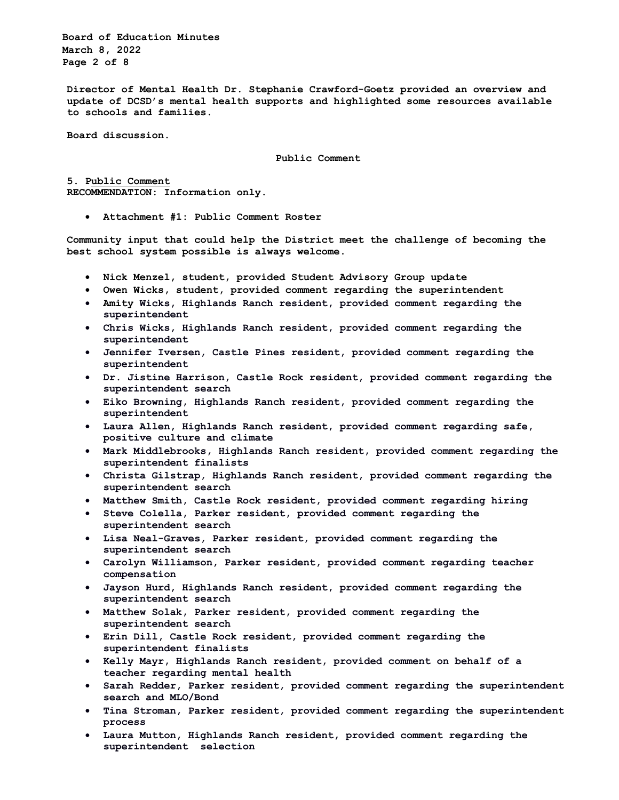**Board of Education Minutes March 8, 2022 Page 2 of 8**

**Director of Mental Health Dr. Stephanie Crawford-Goetz provided an overview and update of DCSD's mental health supports and highlighted some resources available to schools and families.**

**Board discussion.**

**Public Comment**

**5. Public Comment RECOMMENDATION: Information only.** 

• **Attachment #1: Public Comment Roster** 

**Community input that could help the District meet the challenge of becoming the best school system possible is always welcome.** 

- **Nick Menzel, student, provided Student Advisory Group update**
- **Owen Wicks, student, provided comment regarding the superintendent**
- **Amity Wicks, Highlands Ranch resident, provided comment regarding the superintendent**
- **Chris Wicks, Highlands Ranch resident, provided comment regarding the superintendent**
- **Jennifer Iversen, Castle Pines resident, provided comment regarding the superintendent**
- **Dr. Jistine Harrison, Castle Rock resident, provided comment regarding the superintendent search**
- **Eiko Browning, Highlands Ranch resident, provided comment regarding the superintendent**
- **Laura Allen, Highlands Ranch resident, provided comment regarding safe, positive culture and climate**
- **Mark Middlebrooks, Highlands Ranch resident, provided comment regarding the superintendent finalists**
- **Christa Gilstrap, Highlands Ranch resident, provided comment regarding the superintendent search**
- **Matthew Smith, Castle Rock resident, provided comment regarding hiring**
- **Steve Colella, Parker resident, provided comment regarding the superintendent search**
- **Lisa Neal-Graves, Parker resident, provided comment regarding the superintendent search**
- **Carolyn Williamson, Parker resident, provided comment regarding teacher compensation**
- **Jayson Hurd, Highlands Ranch resident, provided comment regarding the superintendent search**
- **Matthew Solak, Parker resident, provided comment regarding the superintendent search**
- **Erin Dill, Castle Rock resident, provided comment regarding the superintendent finalists**
- **Kelly Mayr, Highlands Ranch resident, provided comment on behalf of a teacher regarding mental health**
- **Sarah Redder, Parker resident, provided comment regarding the superintendent search and MLO/Bond**
- **Tina Stroman, Parker resident, provided comment regarding the superintendent process**
- **Laura Mutton, Highlands Ranch resident, provided comment regarding the superintendent selection**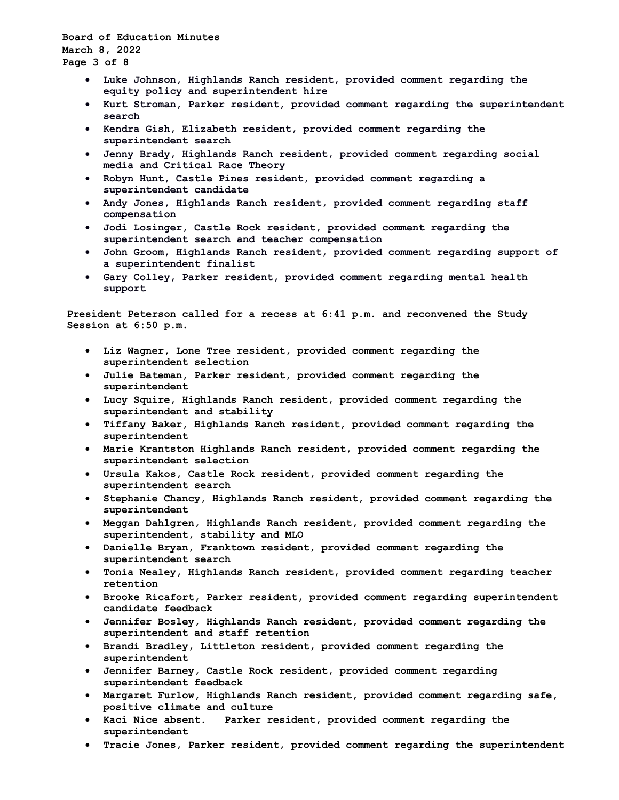**Board of Education Minutes March 8, 2022 Page 3 of 8**

- **Luke Johnson, Highlands Ranch resident, provided comment regarding the equity policy and superintendent hire**
- **Kurt Stroman, Parker resident, provided comment regarding the superintendent search**
- **Kendra Gish, Elizabeth resident, provided comment regarding the superintendent search**
- **Jenny Brady, Highlands Ranch resident, provided comment regarding social media and Critical Race Theory**
- **Robyn Hunt, Castle Pines resident, provided comment regarding a superintendent candidate**
- **Andy Jones, Highlands Ranch resident, provided comment regarding staff compensation**
- **Jodi Losinger, Castle Rock resident, provided comment regarding the superintendent search and teacher compensation**
- **John Groom, Highlands Ranch resident, provided comment regarding support of a superintendent finalist**
- **Gary Colley, Parker resident, provided comment regarding mental health support**

**President Peterson called for a recess at 6:41 p.m. and reconvened the Study Session at 6:50 p.m.**

- **Liz Wagner, Lone Tree resident, provided comment regarding the superintendent selection**
- **Julie Bateman, Parker resident, provided comment regarding the superintendent**
- **Lucy Squire, Highlands Ranch resident, provided comment regarding the superintendent and stability**
- **Tiffany Baker, Highlands Ranch resident, provided comment regarding the superintendent**
- **Marie Krantston Highlands Ranch resident, provided comment regarding the superintendent selection**
- **Ursula Kakos, Castle Rock resident, provided comment regarding the superintendent search**
- **Stephanie Chancy, Highlands Ranch resident, provided comment regarding the superintendent**
- **Meggan Dahlgren, Highlands Ranch resident, provided comment regarding the superintendent, stability and MLO**
- **Danielle Bryan, Franktown resident, provided comment regarding the superintendent search**
- **Tonia Nealey, Highlands Ranch resident, provided comment regarding teacher retention**
- **Brooke Ricafort, Parker resident, provided comment regarding superintendent candidate feedback**
- **Jennifer Bosley, Highlands Ranch resident, provided comment regarding the superintendent and staff retention**
- **Brandi Bradley, Littleton resident, provided comment regarding the superintendent**
- **Jennifer Barney, Castle Rock resident, provided comment regarding superintendent feedback**
- **Margaret Furlow, Highlands Ranch resident, provided comment regarding safe, positive climate and culture**
- **Kaci Nice absent. Parker resident, provided comment regarding the superintendent**
- **Tracie Jones, Parker resident, provided comment regarding the superintendent**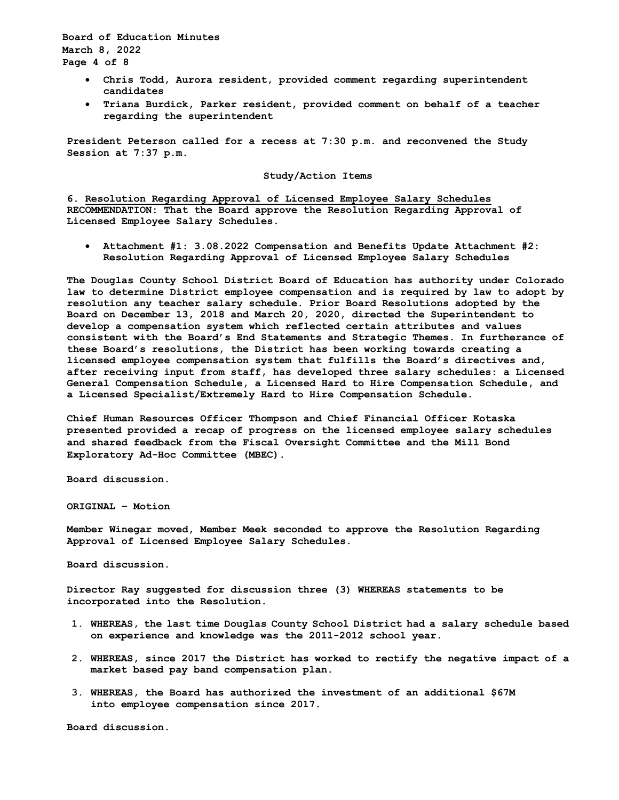**Board of Education Minutes March 8, 2022 Page 4 of 8**

- **Chris Todd, Aurora resident, provided comment regarding superintendent candidates**
- **Triana Burdick, Parker resident, provided comment on behalf of a teacher regarding the superintendent**

**President Peterson called for a recess at 7:30 p.m. and reconvened the Study Session at 7:37 p.m.**

## **Study/Action Items**

**6. Resolution Regarding Approval of Licensed Employee Salary Schedules RECOMMENDATION: That the Board approve the Resolution Regarding Approval of Licensed Employee Salary Schedules.** 

• **Attachment #1: 3.08.2022 Compensation and Benefits Update Attachment #2: Resolution Regarding Approval of Licensed Employee Salary Schedules**

**The Douglas County School District Board of Education has authority under Colorado law to determine District employee compensation and is required by law to adopt by resolution any teacher salary schedule. Prior Board Resolutions adopted by the Board on December 13, 2018 and March 20, 2020, directed the Superintendent to develop a compensation system which reflected certain attributes and values consistent with the Board's End Statements and Strategic Themes. In furtherance of these Board's resolutions, the District has been working towards creating a licensed employee compensation system that fulfills the Board's directives and, after receiving input from staff, has developed three salary schedules: a Licensed General Compensation Schedule, a Licensed Hard to Hire Compensation Schedule, and a Licensed Specialist/Extremely Hard to Hire Compensation Schedule.** 

**Chief Human Resources Officer Thompson and Chief Financial Officer Kotaska presented provided a recap of progress on the licensed employee salary schedules and shared feedback from the Fiscal Oversight Committee and the Mill Bond Exploratory Ad-Hoc Committee (MBEC).**

**Board discussion.**

**ORIGINAL – Motion**

**Member Winegar moved, Member Meek seconded to approve the Resolution Regarding Approval of Licensed Employee Salary Schedules.**

**Board discussion.**

**Director Ray suggested for discussion three (3) WHEREAS statements to be incorporated into the Resolution.**

- **1. WHEREAS, the last time Douglas County School District had a salary schedule based on experience and knowledge was the 2011-2012 school year.**
- **2. WHEREAS, since 2017 the District has worked to rectify the negative impact of a market based pay band compensation plan.**
- **3. WHEREAS, the Board has authorized the investment of an additional \$67M into employee compensation since 2017.**

**Board discussion.**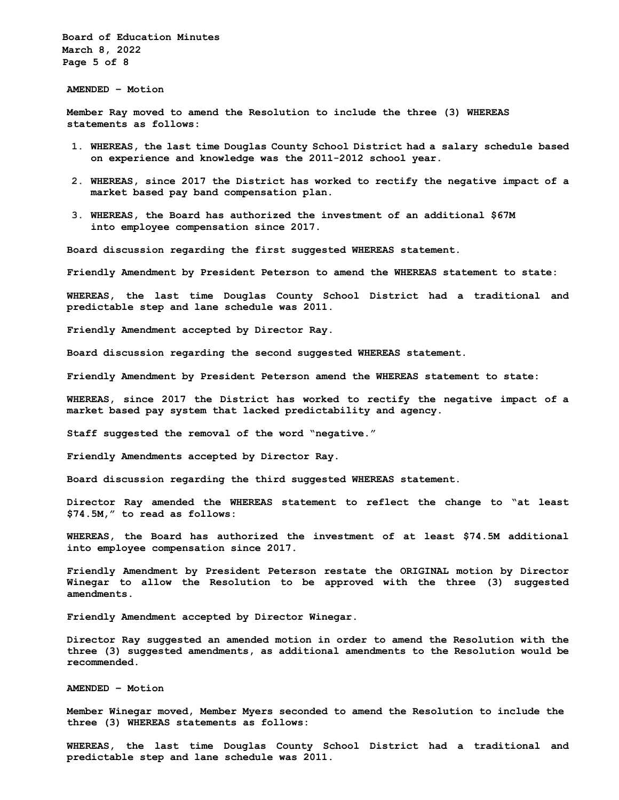**Board of Education Minutes March 8, 2022 Page 5 of 8**

**AMENDED – Motion**

**Member Ray moved to amend the Resolution to include the three (3) WHEREAS statements as follows:**

- **1. WHEREAS, the last time Douglas County School District had a salary schedule based on experience and knowledge was the 2011-2012 school year.**
- **2. WHEREAS, since 2017 the District has worked to rectify the negative impact of a market based pay band compensation plan.**
- **3. WHEREAS, the Board has authorized the investment of an additional \$67M into employee compensation since 2017.**

**Board discussion regarding the first suggested WHEREAS statement.**

**Friendly Amendment by President Peterson to amend the WHEREAS statement to state:**

**WHEREAS, the last time Douglas County School District had a traditional and predictable step and lane schedule was 2011.**

**Friendly Amendment accepted by Director Ray.**

**Board discussion regarding the second suggested WHEREAS statement.**

**Friendly Amendment by President Peterson amend the WHEREAS statement to state:**

**WHEREAS, since 2017 the District has worked to rectify the negative impact of a market based pay system that lacked predictability and agency.**

**Staff suggested the removal of the word "negative."**

**Friendly Amendments accepted by Director Ray.**

**Board discussion regarding the third suggested WHEREAS statement.**

**Director Ray amended the WHEREAS statement to reflect the change to "at least \$74.5M," to read as follows:**

**WHEREAS, the Board has authorized the investment of at least \$74.5M additional into employee compensation since 2017.**

**Friendly Amendment by President Peterson restate the ORIGINAL motion by Director Winegar to allow the Resolution to be approved with the three (3) suggested amendments.**

**Friendly Amendment accepted by Director Winegar.**

**Director Ray suggested an amended motion in order to amend the Resolution with the three (3) suggested amendments, as additional amendments to the Resolution would be recommended.**

**AMENDED – Motion** 

**Member Winegar moved, Member Myers seconded to amend the Resolution to include the three (3) WHEREAS statements as follows:**

**WHEREAS, the last time Douglas County School District had a traditional and predictable step and lane schedule was 2011.**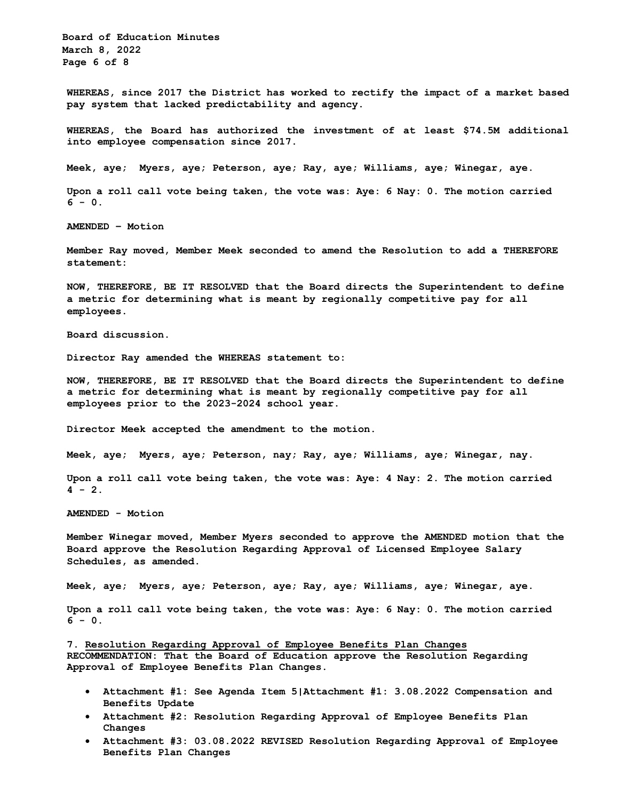**Board of Education Minutes March 8, 2022 Page 6 of 8**

**WHEREAS, since 2017 the District has worked to rectify the impact of a market based pay system that lacked predictability and agency.**

**WHEREAS, the Board has authorized the investment of at least \$74.5M additional into employee compensation since 2017.**

**Meek, aye; Myers, aye; Peterson, aye; Ray, aye; Williams, aye; Winegar, aye.**

**Upon a roll call vote being taken, the vote was: Aye: 6 Nay: 0. The motion carried 6 - 0.**

**AMENDED – Motion**

**Member Ray moved, Member Meek seconded to amend the Resolution to add a THEREFORE statement:**

**NOW, THEREFORE, BE IT RESOLVED that the Board directs the Superintendent to define a metric for determining what is meant by regionally competitive pay for all employees**.

**Board discussion.**

**Director Ray amended the WHEREAS statement to:**

**NOW, THEREFORE, BE IT RESOLVED that the Board directs the Superintendent to define a metric for determining what is meant by regionally competitive pay for all employees prior to the 2023-2024 school year.**

**Director Meek accepted the amendment to the motion.**

**Meek, aye; Myers, aye; Peterson, nay; Ray, aye; Williams, aye; Winegar, nay.**

**Upon a roll call vote being taken, the vote was: Aye: 4 Nay: 2. The motion carried 4 - 2.**

**AMENDED - Motion**

**Member Winegar moved, Member Myers seconded to approve the AMENDED motion that the Board approve the Resolution Regarding Approval of Licensed Employee Salary Schedules, as amended.** 

**Meek, aye; Myers, aye; Peterson, aye; Ray, aye; Williams, aye; Winegar, aye.**

**Upon a roll call vote being taken, the vote was: Aye: 6 Nay: 0. The motion carried 6 - 0.**

**7. Resolution Regarding Approval of Employee Benefits Plan Changes RECOMMENDATION: That the Board of Education approve the Resolution Regarding Approval of Employee Benefits Plan Changes.** 

- **Attachment #1: See Agenda Item 5|Attachment #1: 3.08.2022 Compensation and Benefits Update**
- **Attachment #2: Resolution Regarding Approval of Employee Benefits Plan Changes**
- **Attachment #3: 03.08.2022 REVISED Resolution Regarding Approval of Employee Benefits Plan Changes**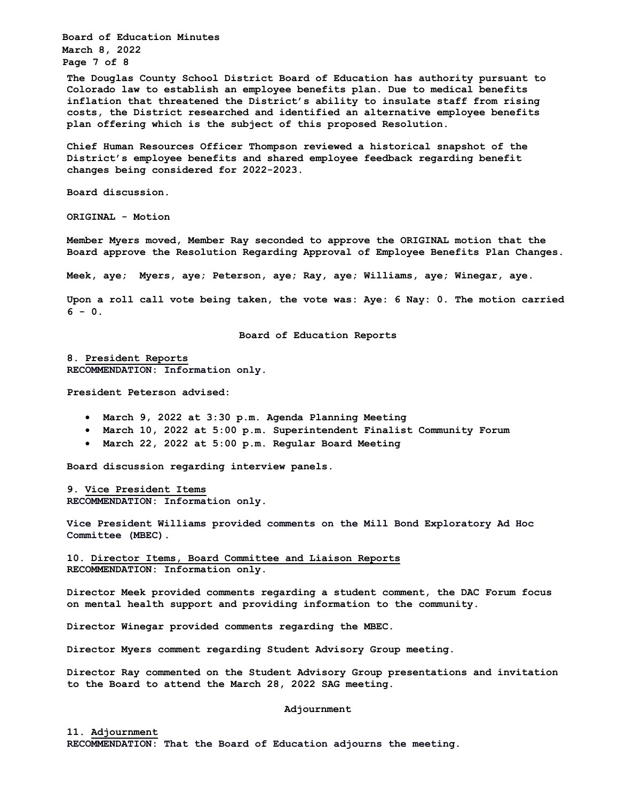**Board of Education Minutes March 8, 2022 Page 7 of 8**

**The Douglas County School District Board of Education has authority pursuant to Colorado law to establish an employee benefits plan. Due to medical benefits inflation that threatened the District's ability to insulate staff from rising costs, the District researched and identified an alternative employee benefits plan offering which is the subject of this proposed Resolution.** 

**Chief Human Resources Officer Thompson reviewed a historical snapshot of the District's employee benefits and shared employee feedback regarding benefit changes being considered for 2022-2023.** 

**Board discussion.**

**ORIGINAL - Motion** 

**Member Myers moved, Member Ray seconded to approve the ORIGINAL motion that the Board approve the Resolution Regarding Approval of Employee Benefits Plan Changes.** 

**Meek, aye; Myers, aye; Peterson, aye; Ray, aye; Williams, aye; Winegar, aye.**

**Upon a roll call vote being taken, the vote was: Aye: 6 Nay: 0. The motion carried 6 - 0.**

**Board of Education Reports**

**8. President Reports RECOMMENDATION: Information only.**

**President Peterson advised:**

- **March 9, 2022 at 3:30 p.m. Agenda Planning Meeting**
- **March 10, 2022 at 5:00 p.m. Superintendent Finalist Community Forum**
- **March 22, 2022 at 5:00 p.m. Regular Board Meeting**

**Board discussion regarding interview panels.**

**9. Vice President Items RECOMMENDATION: Information only.**

**Vice President Williams provided comments on the Mill Bond Exploratory Ad Hoc Committee (MBEC).**

**10. Director Items, Board Committee and Liaison Reports RECOMMENDATION: Information only.** 

**Director Meek provided comments regarding a student comment, the DAC Forum focus on mental health support and providing information to the community.**

**Director Winegar provided comments regarding the MBEC.**

**Director Myers comment regarding Student Advisory Group meeting.**

**Director Ray commented on the Student Advisory Group presentations and invitation to the Board to attend the March 28, 2022 SAG meeting.**

**Adjournment**

**11. Adjournment RECOMMENDATION: That the Board of Education adjourns the meeting.**